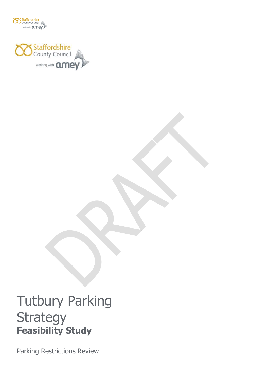

**M**Staffordshire

way with **amey** 

# Tutbury Parking **Strategy Feasibility Study**

Parking Restrictions Review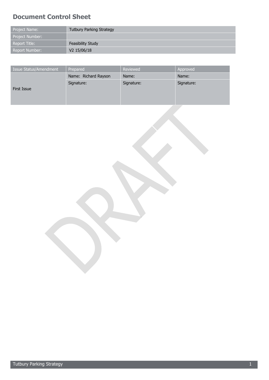# <span id="page-1-0"></span>**Document Control Sheet**

| Project Name:   | <b>Tutbury Parking Strategy</b> |
|-----------------|---------------------------------|
| Project Number: |                                 |
| Report Title:   | <b>Feasibility Study</b>        |
| Report Number:  | V2 15/06/18                     |

| Issue Status/Amendment | Prepared             | Reviewed   | Approved   |  |
|------------------------|----------------------|------------|------------|--|
|                        | Name: Richard Rayson | Name:      | Name:      |  |
| First Issue            | Signature:           | Signature: | Signature: |  |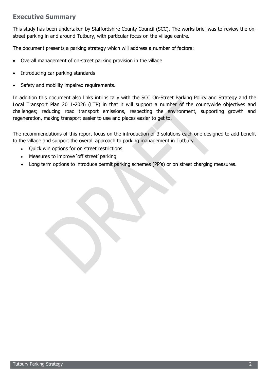# <span id="page-2-0"></span>**Executive Summary**

This study has been undertaken by Staffordshire County Council (SCC). The works brief was to review the onstreet parking in and around Tutbury, with particular focus on the village centre.

The document presents a parking strategy which will address a number of factors:

- Overall management of on-street parking provision in the village
- Introducing car parking standards
- Safety and mobility impaired requirements.

In addition this document also links intrinsically with the SCC On-Street Parking Policy and Strategy and the Local Transport Plan 2011-2026 (LTP) in that it will support a number of the countywide objectives and challenges; reducing road transport emissions, respecting the environment, supporting growth and regeneration, making transport easier to use and places easier to get to.

The recommendations of this report focus on the introduction of 3 solutions each one designed to add benefit to the village and support the overall approach to parking management in Tutbury.

- Quick win options for on street restrictions
- Measures to improve 'off street' parking
- Long term options to introduce permit parking schemes (PP's) or on street charging measures.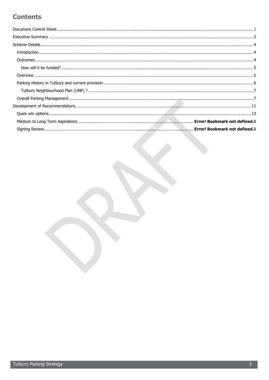# **Contents**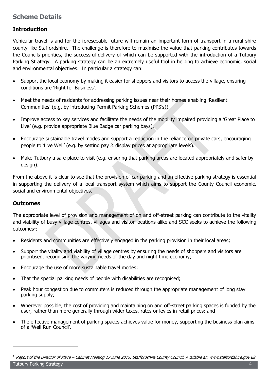# <span id="page-4-0"></span>**Scheme Details**

# <span id="page-4-1"></span>**Introduction**

Vehicular travel is and for the foreseeable future will remain an important form of transport in a rural shire county like Staffordshire. The challenge is therefore to maximise the value that parking contributes towards the Councils priorities, the successful delivery of which can be supported with the introduction of a Tutbury Parking Strategy. A parking strategy can be an extremely useful tool in helping to achieve economic, social and environmental objectives. In particular a strategy can:

- Support the local economy by making it easier for shoppers and visitors to access the village, ensuring conditions are 'Right for Business'.
- Meet the needs of residents for addressing parking issues near their homes enabling 'Resilient Communities' (e.g. by introducing Permit Parking Schemes (PPS's)).
- Improve access to key services and facilitate the needs of the mobility impaired providing a 'Great Place to Live' (e.g. provide appropriate Blue Badge car parking bays).
- Encourage sustainable travel modes and support a reduction in the reliance on private cars, encouraging people to 'Live Well' (e.g. by setting pay & display prices at appropriate levels).
- Make Tutbury a safe place to visit (e.g. ensuring that parking areas are located appropriately and safer by design).

From the above it is clear to see that the provision of car parking and an effective parking strategy is essential in supporting the delivery of a local transport system which aims to support the County Council economic, social and environmental objectives.

# <span id="page-4-2"></span>**Outcomes**

ł

The appropriate level of provision and management of on and off-street parking can contribute to the vitality and viability of busy village centres, villages and visitor locations alike and SCC seeks to achieve the following outcomes<sup>1</sup>:

- Residents and communities are effectively engaged in the parking provision in their local areas;
- Support the vitality and viability of village centres by ensuring the needs of shoppers and visitors are prioritised, recognising the varying needs of the day and night time economy;
- Encourage the use of more sustainable travel modes;
- That the special parking needs of people with disabilities are recognised;
- Peak hour congestion due to commuters is reduced through the appropriate management of long stay parking supply;
- Wherever possible, the cost of providing and maintaining on and off-street parking spaces is funded by the user, rather than more generally through wider taxes, rates or levies in retail prices; and
- The effective management of parking spaces achieves value for money, supporting the business plan aims of a 'Well Run Council'.

Tutbury Parking Strategy 4  $^1$  Report of the Director of Place – Cabinet Meeting 17 June 2015, Staffordshire County Council. Available at: www.staffordshire.gov.uk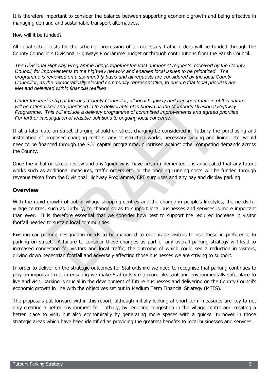It is therefore important to consider the balance between supporting economic growth and being effective in managing demand and sustainable transport alternatives.

<span id="page-5-0"></span>How will it be funded?

All initial setup costs for the scheme; processing of all necessary traffic orders will be funded through the County Councillors Divisional Highways Programme budget or through contributions from the Parish Council.

*The Divisional Highway Programme brings together the vast number of requests, received by the County Council, for improvements to the highway network and enables local issues to be prioritized. The programme is reviewed on a six-monthly basis and all requests are considered by the local County Councillor, as the democratically elected community representative, to ensure that local priorities are Met and delivered within financial realities.*

*Under the leadership of the local County Councillor, all local highway and transport matters of this nature will be rationalised and prioritised in to a deliverable plan known as the Member's Divisional Highway Programme. This will include a delivery programme of committed improvements and agreed priorities For further investigation of feasible solutions to ongoing local concerns.* 

If at a later date on street charging should on street charging be considered in Tutbury the purchasing and installation of proposed charging meters, any construction works, necessary signing and lining, etc. would need to be financed through the SCC capital programme, prioritised against other competing demands across the County.

Once the initial on street review and any 'quick wins' have been implemented it is anticipated that any future works such as additional measures, traffic orders etc. or the ongoing running costs will be funded through revenue taken from the Divisional Highway Programme, CPE surpluses and any pay and display parking.

# <span id="page-5-1"></span>**Overview**

With the rapid growth of out-of-village shopping centres and the change in people's lifestyles, the needs for village centres, such as Tutbury, to change so as to support local businesses and services is more important than ever. It is therefore essential that we consider how best to support the required increase in visitor footfall needed to sustain local communities.

Existing car parking designation needs to be managed to encourage visitors to use these in preference to parking on street. A failure to consider these changes as part of any overall parking strategy will lead to increased congestion for visitors and local traffic, the outcome of which could see a reduction in visitors, driving down pedestrian footfall and adversely affecting those businesses we are striving to support.

In order to deliver on the strategic outcomes for Staffordshire we need to recognise that parking continues to play an important role in ensuring we make Staffordshire a more pleasant and environmentally safe place to live and visit; parking is crucial in the development of future businesses and delivering on the County Council's economic growth in line with the objectives set out in Medium Term Financial Strategy (MTFS).

The proposals put forward within this report, although initially looking at short term measures are key to not only creating a better environment for Tutbury, by reducing congestion in the village centre and creating a better place to visit, but also economically by generating more spaces with a quicker turnover in those strategic areas which have been identified as providing the greatest benefits to local businesses and services.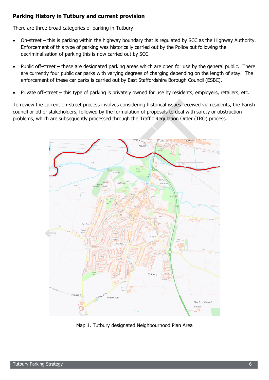# <span id="page-6-0"></span>**Parking History in Tutbury and current provision**

There are three broad categories of parking in Tutbury:

- On-street this is parking within the highway boundary that is regulated by SCC as the Highway Authority. Enforcement of this type of parking was historically carried out by the Police but following the decriminalisation of parking this is now carried out by SCC.
- Public off-street these are designated parking areas which are open for use by the general public. There are currently four public car parks with varying degrees of charging depending on the length of stay. The enforcement of these car parks is carried out by East Staffordshire Borough Council (ESBC).
- Private off-street this type of parking is privately owned for use by residents, employers, retailers, etc.

To review the current on-street process involves considering historical issues received via residents, the Parish council or other stakeholders, followed by the formulation of proposals to deal with safety or obstruction problems, which are subsequently processed through the Traffic Regulation Order (TRO) process.



Map 1. Tutbury designated Neighbourhood Plan Area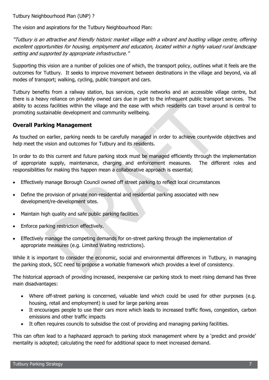<span id="page-7-0"></span>Tutbury Neighbourhood Plan (UNP) ?

The vision and aspirations for the Tutbury Neighbourhood Plan:

"Tutbury is an attractive and friendly historic market village with a vibrant and bustling village centre, offering excellent opportunities for housing, employment and education, located within a highly valued rural landscape setting and supported by appropriate infrastructure."

Supporting this vision are a number of policies one of which, the transport policy, outlines what it feels are the outcomes for Tutbury. It seeks to improve movement between destinations in the village and beyond, via all modes of transport; walking, cycling, public transport and cars.

Tutbury benefits from a railway station, bus services, cycle networks and an accessible village centre, but there is a heavy reliance on privately owned cars due in part to the infrequent public transport services. The ability to access facilities within the village and the ease with which residents can travel around is central to promoting sustainable development and community wellbeing.

# <span id="page-7-1"></span>**Overall Parking Management**

As touched on earlier, parking needs to be carefully managed in order to achieve countywide objectives and help meet the vision and outcomes for Tutbury and its residents.

In order to do this current and future parking stock must be managed efficiently through the implementation of appropriate supply, maintenance, charging and enforcement measures. The different roles and responsibilities for making this happen mean a collaborative approach is essential;

- Effectively manage Borough Council owned off street parking to reflect local circumstances
- Define the provision of private non-residential and residential parking associated with new development/re-development sites.
- Maintain high quality and safe public parking facilities.
- Enforce parking restriction effectively.
- Effectively manage the competing demands for on-street parking through the implementation of appropriate measures (e.g. Limited Waiting restrictions).

While it is important to consider the economic, social and environmental differences in Tutbury, in managing the parking stock, SCC need to propose a workable framework which provides a level of consistency.

The historical approach of providing increased, inexpensive car parking stock to meet rising demand has three main disadvantages:

- Where off-street parking is concerned, valuable land which could be used for other purposes (e.g. housing, retail and employment) is used for large parking areas
- It encourages people to use their cars more which leads to increased traffic flows, congestion, carbon emissions and other traffic impacts
- It often requires councils to subsidise the cost of providing and managing parking facilities.

This can often lead to a haphazard approach to parking stock management where by a 'predict and provide' mentality is adopted; calculating the need for additional space to meet increased demand.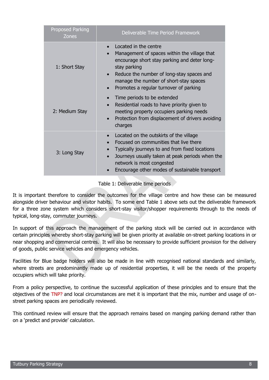| <b>Proposed Parking</b><br>Zones | Deliverable Time Period Framework                                                                                                                                                                                                                                                                             |
|----------------------------------|---------------------------------------------------------------------------------------------------------------------------------------------------------------------------------------------------------------------------------------------------------------------------------------------------------------|
| 1: Short Stay                    | Located in the centre<br>$\bullet$<br>Management of spaces within the village that<br>$\bullet$<br>encourage short stay parking and deter long-<br>stay parking<br>Reduce the number of long-stay spaces and<br>$\bullet$<br>manage the number of short-stay spaces<br>Promotes a regular turnover of parking |
| 2: Medium Stay                   | Time periods to be extended<br>Residential roads to have priority given to<br>$\bullet$<br>meeting property occupiers parking needs<br>Protection from displacement of drivers avoiding<br>$\bullet$<br>charges                                                                                               |
| 3: Long Stay                     | Located on the outskirts of the village<br>$\bullet$<br>Focused on communities that live there<br>Typically journeys to and from fixed locations<br>Journeys usually taken at peak periods when the<br>network is most congested<br>Encourage other modes of sustainable transport                            |

Table 1: Deliverable time periods

It is important therefore to consider the outcomes for the village centre and how these can be measured alongside driver behaviour and visitor habits. To some end Table 1 above sets out the deliverable framework for a three zone system which considers short-stay visitor/shopper requirements through to the needs of typical, long-stay, commuter journeys.

In support of this approach the management of the parking stock will be carried out in accordance with certain principles whereby short-stay parking will be given priority at available on-street parking locations in or near shopping and commercial centres. It will also be necessary to provide sufficient provision for the delivery of goods, public service vehicles and emergency vehicles.

Facilities for Blue badge holders will also be made in line with recognised national standards and similarly, where streets are predominantly made up of residential properties, it will be the needs of the property occupiers which will take priority.

From a policy perspective, to continue the successful application of these principles and to ensure that the objectives of the TNP? and local circumstances are met it is important that the mix, number and usage of onstreet parking spaces are periodically reviewed.

This continued review will ensure that the approach remains based on manging parking demand rather than on a 'predict and provide' calculation.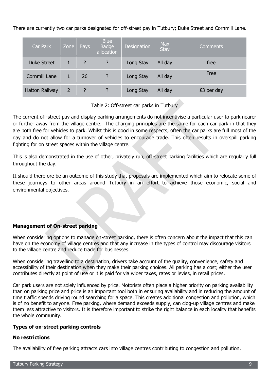There are currently two car parks designated for off-street pay in Tutbury; Duke Street and Cornmill Lane.

| Car Park              | Zone | <b>Bays</b> | <b>Blue</b><br><b>Badge</b><br>allocation | Designation | <b>Max</b><br><b>Stay</b> | Comments   |
|-----------------------|------|-------------|-------------------------------------------|-------------|---------------------------|------------|
| <b>Duke Street</b>    |      | ?           | ?                                         | Long Stay   | All day                   | free       |
| <b>Cornmill Lane</b>  |      | 26          | ?                                         | Long Stay   | All day                   | Free       |
| <b>Hatton Railway</b> |      | ?           | ?                                         | Long Stay   | All day                   | £3 per day |

# Table 2: Off-street car parks in Tutbury

The current off-street pay and display parking arrangements do not incentivise a particular user to park nearer or further away from the village centre. The charging principles are the same for each car park in that they are both free for vehicles to park. Whilst this is good in some respects, often the car parks are full most of the day and do not allow for a turnover of vehicles to encourage trade. This often results in overspill parking fighting for on street spaces within the village centre.

This is also demonstrated in the use of other, privately run, off-street parking facilities which are regularly full throughout the day.

It should therefore be an outcome of this study that proposals are implemented which aim to relocate some of these journeys to other areas around Tutbury in an effort to achieve those economic, social and environmental objectives.

# **Management of On-street parking**

When considering options to manage on-street parking, there is often concern about the impact that this can have on the economy of village centres and that any increase in the types of control may discourage visitors to the village centre and reduce trade for businesses.

When considering travelling to a destination, drivers take account of the quality, convenience, safety and accessibility of their destination when they make their parking choices. All parking has a cost; either the user contributes directly at point of use or it is paid for via wider taxes, rates or levies, in retail prices.

Car park users are not solely influenced by price. Motorists often place a higher priority on parking availability than on parking price and price is an important tool both in ensuring availability and in reducing the amount of time traffic spends driving round searching for a space. This creates additional congestion and pollution, which is of no benefit to anyone. Free parking, where demand exceeds supply, can clog-up village centres and make them less attractive to visitors. It is therefore important to strike the right balance in each locality that benefits the whole community.

# **Types of on-street parking controls**

#### **No restrictions**

The availability of free parking attracts cars into village centres contributing to congestion and pollution.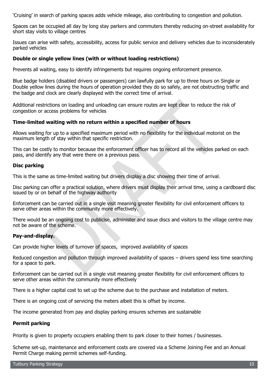'Cruising' in search of parking spaces adds vehicle mileage, also contributing to congestion and pollution.

Spaces can be occupied all day by long stay parkers and commuters thereby reducing on-street availability for short stay visits to village centres

Issues can arise with safety, accessibility, access for public service and delivery vehicles due to inconsiderately parked vehicles

#### **Double or single yellow lines (with or without loading restrictions)**

Prevents all waiting, easy to identify infringements but requires ongoing enforcement presence.

Blue badge holders (disabled drivers or passengers) can lawfully park for up to three hours on Single or Double yellow lines during the hours of operation provided they do so safely, are not obstructing traffic and the badge and clock are clearly displayed with the correct time of arrival.

Additional restrictions on loading and unloading can ensure routes are kept clear to reduce the risk of congestion or access problems for vehicles

#### **Time-limited waiting with no return within a specified number of hours**

Allows waiting for up to a specified maximum period with no flexibility for the individual motorist on the maximum length of stay within that specific restriction.

This can be costly to monitor because the enforcement officer has to record all the vehicles parked on each pass, and identify any that were there on a previous pass.

#### **Disc parking**

This is the same as time-limited waiting but drivers display a disc showing their time of arrival.

Disc parking can offer a practical solution, where drivers must display their arrival time, using a cardboard disc issued by or on behalf of the highway authority

Enforcement can be carried out in a single visit meaning greater flexibility for civil enforcement officers to serve other areas within the community more effectively.

There would be an ongoing cost to publicise, administer and issue discs and visitors to the village centre may not be aware of the scheme.

# **Pay-and-display.**

Can provide higher levels of turnover of spaces, improved availability of spaces

Reduced congestion and pollution through improved availability of spaces – drivers spend less time searching for a space to park.

Enforcement can be carried out in a single visit meaning greater flexibility for civil enforcement officers to serve other areas within the community more effectively

There is a higher capital cost to set up the scheme due to the purchase and installation of meters.

There is an ongoing cost of servicing the meters albeit this is offset by income.

The income generated from pay and display parking ensures schemes are sustainable

#### **Permit parking**

Priority is given to property occupiers enabling them to park closer to their homes / businesses.

Scheme set-up, maintenance and enforcement costs are covered via a Scheme Joining Fee and an Annual Permit Charge making permit schemes self-funding.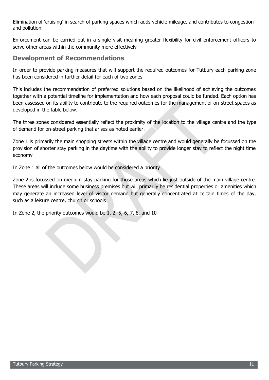Elimination of 'cruising' in search of parking spaces which adds vehicle mileage, and contributes to congestion and pollution.

Enforcement can be carried out in a single visit meaning greater flexibility for civil enforcement officers to serve other areas within the community more effectively

# <span id="page-11-0"></span>**Development of Recommendations**

In order to provide parking measures that will support the required outcomes for Tutbury each parking zone has been considered in further detail for each of two zones

This includes the recommendation of preferred solutions based on the likelihood of achieving the outcomes together with a potential timeline for implementation and how each proposal could be funded. Each option has been assessed on its ability to contribute to the required outcomes for the management of on-street spaces as developed in the table below.

The three zones considered essentially reflect the proximity of the location to the village centre and the type of demand for on-street parking that arises as noted earlier.

Zone 1 is primarily the main shopping streets within the village centre and would generally be focussed on the provision of shorter stay parking in the daytime with the ability to provide longer stay to reflect the night time economy

In Zone 1 all of the outcomes below would be considered a priority

Zone 2 is focussed on medium stay parking for those areas which lie just outside of the main village centre. These areas will include some business premises but will primarily be residential properties or amenities which may generate an increased level of visitor demand but generally concentrated at certain times of the day, such as a leisure centre, church or schools

In Zone 2, the priority outcomes would be 1, 2, 5, 6, 7, 8, and 10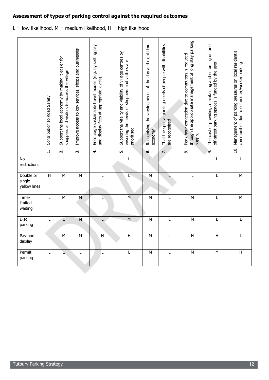# **Assessment of types of parking control against the required outcomes**

 $L =$  low likelihood,  $M =$  medium likelihood,  $H =$  high likelihood

|                                     | Contribution to Road Safety<br>$\ddot{ }$ | Support the local economy by making it easier for<br>shoppers and visitors to access the village<br>$\dot{\mathbf{r}}$ | Improve access to key services, shops and businesses<br>ო | Encourage sustainable travel modes (e.g. by setting pay<br>and display fees at appropriate levels)<br>4 | Support the vitality and viability of village centres by<br>ensuring the needs of shoppers and visitors are<br>prioritised,<br>ທ່ | Recognising the varying needs of the day and night time<br>Auduobs<br>Ġ | That the special parking needs of people with disabilities<br>are recognised<br>$\overline{\phantom{a}}$ | through the appropriate management of long stay parking<br>Peak hour congestion due to commuters is reduced<br>supply;<br>$\infty$ | The cost of providing, maintaining and enforcing on and<br>off-street parking spaces is funded by the user<br>$\infty$ | Management of parking pressures on local residential<br>communities due to commuter/worker parking<br>$\overline{10}$ . |
|-------------------------------------|-------------------------------------------|------------------------------------------------------------------------------------------------------------------------|-----------------------------------------------------------|---------------------------------------------------------------------------------------------------------|-----------------------------------------------------------------------------------------------------------------------------------|-------------------------------------------------------------------------|----------------------------------------------------------------------------------------------------------|------------------------------------------------------------------------------------------------------------------------------------|------------------------------------------------------------------------------------------------------------------------|-------------------------------------------------------------------------------------------------------------------------|
| No<br>restrictions                  | L                                         | L                                                                                                                      | L                                                         | L                                                                                                       | L                                                                                                                                 | L                                                                       | L                                                                                                        | L                                                                                                                                  | L                                                                                                                      | L                                                                                                                       |
| Double or<br>single<br>yellow lines | $\mathsf{H}$                              | M                                                                                                                      | ${\sf M}$                                                 | L                                                                                                       | E                                                                                                                                 | ${\sf M}$                                                               | L                                                                                                        | L                                                                                                                                  | L                                                                                                                      | ${\sf M}$                                                                                                               |
| Time-<br>limited<br>waiting         | L                                         | M                                                                                                                      | M                                                         |                                                                                                         | M                                                                                                                                 | M                                                                       | L                                                                                                        | M                                                                                                                                  | $\mathsf{L}$                                                                                                           | M                                                                                                                       |
| <b>Disc</b><br>parking              | L                                         | L                                                                                                                      | M                                                         | L                                                                                                       | $\mathsf{M}% _{T}=\mathsf{M}_{T}\!\left( a,b\right) ,\ \mathsf{M}_{T}=\mathsf{M}_{T}\!\left( a,b\right) ,$                        | M                                                                       | L                                                                                                        | M                                                                                                                                  | L                                                                                                                      | L                                                                                                                       |
| Pay-and-<br>display                 | $\mathbf{I}$                              | M                                                                                                                      | ${\sf M}$                                                 | H                                                                                                       | $\sf H$                                                                                                                           | ${\sf M}$                                                               | L                                                                                                        | $\boldsymbol{\mathsf{H}}$                                                                                                          | $\sf H$                                                                                                                | L                                                                                                                       |
| Permit<br>parking                   | $\mathsf{L}$                              | L                                                                                                                      | L                                                         | L                                                                                                       | L                                                                                                                                 | ${\sf M}$                                                               | L                                                                                                        | ${\sf M}$                                                                                                                          | ${\sf M}$                                                                                                              | H                                                                                                                       |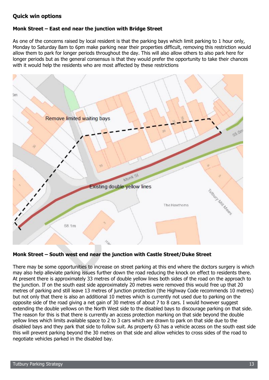# <span id="page-13-0"></span>**Quick win options**

# **Monk Street – East end near the junction with Bridge Street**

As one of the concerns raised by local resident is that the parking bays which limit parking to 1 hour only, Monday to Saturday 8am to 6pm make parking near their properties difficult, removing this restriction would allow them to park for longer periods throughout the day. This will also allow others to also park here for longer periods but as the general consensus is that they would prefer the opportunity to take their chances with it would help the residents who are most affected by these restrictions



# **Monk Street – South west end near the junction with Castle Street/Duke Street**

There may be some opportunities to increase on street parking at this end where the doctors surgery is which may also help alleviate parking issues further down the road reducing the knock on effect to residents there. At present there is approximately 33 metres of double yellow lines both sides of the road on the approach to the junction. If on the south east side approximately 20 metres were removed this would free up that 20 metres of parking and still leave 13 metres of junction protection (the Highway Code recommends 10 metres) but not only that there is also an additional 10 metres which is currently not used due to parking on the opposite side of the road giving a net gain of 30 metres of about 7 to 8 cars. I would however suggest extending the double yellows on the North West side to the disabled bays to discourage parking on that side. The reason for this is that there is currently an access protection marking on that side beyond the double yellow lines which limits available space to 2 to 3 cars which are drawn to park on that side due to the disabled bays and they park that side to follow suit. As property 63 has a vehicle access on the south east side this will prevent parking beyond the 30 metres on that side and allow vehicles to cross sides of the road to negotiate vehicles parked in the disabled bay.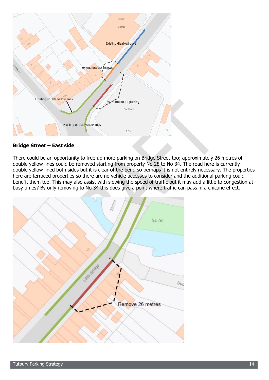

# **Bridge Street – East side**

There could be an opportunity to free up more parking on Bridge Street too; approximately 26 metres of double yellow lines could be removed starting from property No 28 to No 34. The road here is currently double yellow lined both sides but it is clear of the bend so perhaps it is not entirely necessary. The properties here are terraced properties so there are no vehicle accesses to consider and the additional parking could benefit them too. This may also assist with slowing the speed of traffic but it may add a little to congestion at busy times? By only removing to No 34 this does give a point where traffic can pass in a chicane effect.

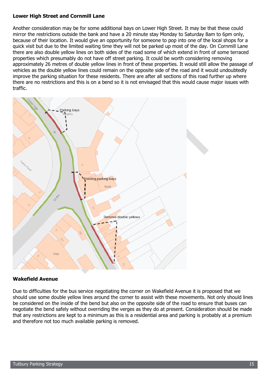#### **Lower High Street and Cornmill Lane**

Another consideration may be for some additional bays on Lower High Street. It may be that these could mirror the restrictions outside the bank and have a 20 minute stay Monday to Saturday 8am to 6pm only, because of their location. It would give an opportunity for someone to pop into one of the local shops for a quick visit but due to the limited waiting time they will not be parked up most of the day. On Cornmill Lane there are also double yellow lines on both sides of the road some of which extend in front of some terraced properties which presumably do not have off street parking. It could be worth considering removing approximately 26 metres of double yellow lines in front of these properties. It would still allow the passage of vehicles as the double yellow lines could remain on the opposite side of the road and it would undoubtedly improve the parking situation for these residents. There are after all sections of this road further up where there are no restrictions and this is on a bend so it is not envisaged that this would cause major issues with traffic.



# **Wakefield Avenue**

Due to difficulties for the bus service negotiating the corner on Wakefield Avenue it is proposed that we should use some double yellow lines around the corner to assist with these movements. Not only should lines be considered on the inside of the bend but also on the opposite side of the road to ensure that buses can negotiate the bend safely without overriding the verges as they do at present. Consideration should be made that any restrictions are kept to a minimum as this is a residential area and parking is probably at a premium and therefore not too much available parking is removed.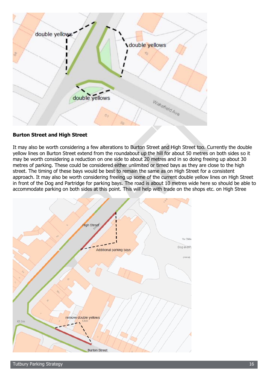

# **Burton Street and High Street**

It may also be worth considering a few alterations to Burton Street and High Street too. Currently the double yellow lines on Burton Street extend from the roundabout up the hill for about 50 metres on both sides so it may be worth considering a reduction on one side to about 20 metres and in so doing freeing up about 30 metres of parking. These could be considered either unlimited or timed bays as they are close to the high street. The timing of these bays would be best to remain the same as on High Street for a consistent approach. It may also be worth considering freeing up some of the current double yellow lines on High Street in front of the Dog and Partridge for parking bays. The road is about 10 metres wide here so should be able to accommodate parking on both sides at this point. This will help with trade on the shops etc. on High Stree

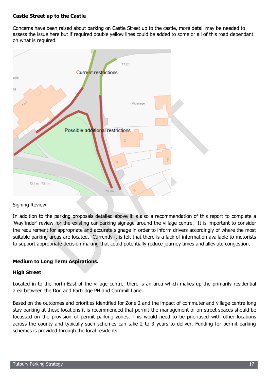# **Castle Street up to the Castle**

Concerns have been raised about parking on Castle Street up to the castle, more detail may be needed to assess the issue here but if required double yellow lines could be added to some or all of this road dependant on what is required.



# Signing Review

In addition to the parking proposals detailed above it is also a recommendation of this report to complete a 'Wayfinder' review for the existing car parking signage around the village centre. It is important to consider the requirement for appropriate and accurate signage in order to inform drivers accordingly of where the most suitable parking areas are located. Currently it is felt that there is a lack of information available to motorists to support appropriate decision making that could potentially reduce journey times and alleviate congestion.

# **Medium to Long Term Aspirations.**

#### **High Street**

Located in to the north-East of the village centre, there is an area which makes up the primarily residential area between the Dog and Partridge PH and Cornmill Lane.

Based on the outcomes and priorities identified for Zone 2 and the impact of commuter and village centre long stay parking at these locations it is recommended that permit the management of on-street spaces should be focussed on the provision of permit parking zones. This would need to be prioritised with other locations across the county and typically such schemes can take 2 to 3 years to deliver. Funding for permit parking schemes is provided through the local residents.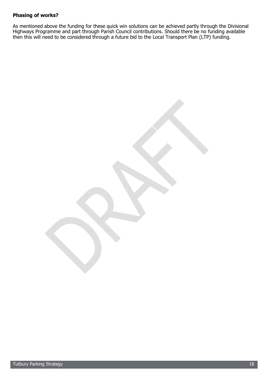# **Phasing of works?**

As mentioned above the funding for these quick win solutions can be achieved partly through the Divisional Highways Programme and part through Parish Council contributions. Should there be no funding available then this will need to be considered through a future bid to the Local Transport Plan (LTP) funding.